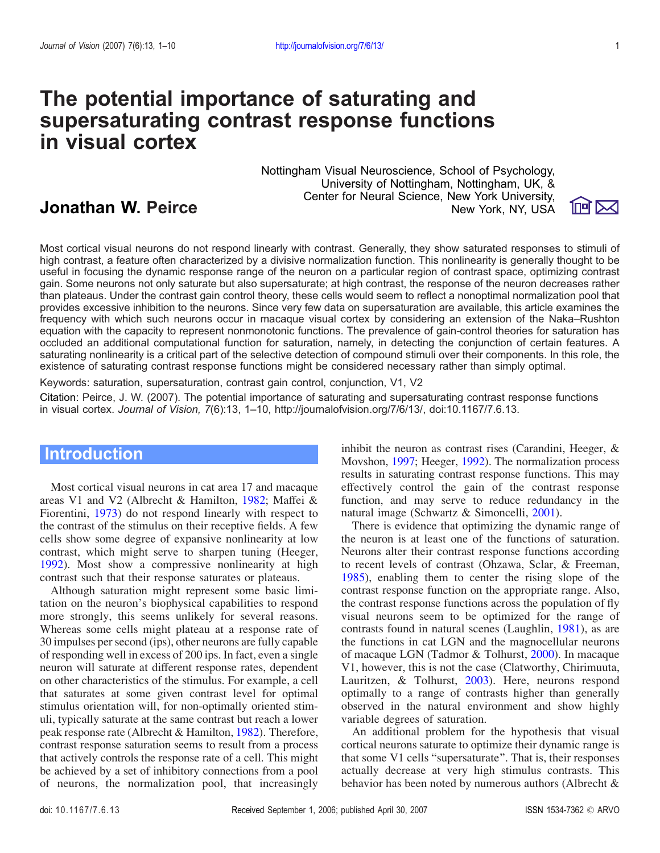$\ln\log$ 

# The potential importance of saturating and supersaturating contrast response functions in visual cortex

Nottingham Visual Neuroscience, School of Psychology, University of Nottingham, Nottingham, UK, & Center for Neural Science, New York University, Jonathan W. Peirce New York, NY, USA

Most cortical visual neurons do not respond linearly with contrast. Generally, they show saturated responses to stimuli of high contrast, a feature often characterized by a divisive normalization function. This nonlinearity is generally thought to be useful in focusing the dynamic response range of the neuron on a particular region of contrast space, optimizing contrast gain. Some neurons not only saturate but also supersaturate; at high contrast, the response of the neuron decreases rather than plateaus. Under the contrast gain control theory, these cells would seem to reflect a nonoptimal normalization pool that provides excessive inhibition to the neurons. Since very few data on supersaturation are available, this article examines the frequency with which such neurons occur in macaque visual cortex by considering an extension of the Naka–Rushton equation with the capacity to represent nonmonotonic functions. The prevalence of gain-control theories for saturation has occluded an additional computational function for saturation, namely, in detecting the conjunction of certain features. A saturating nonlinearity is a critical part of the selective detection of compound stimuli over their components. In this role, the existence of saturating contrast response functions might be considered necessary rather than simply optimal.

Keywords: saturation, supersaturation, contrast gain control, conjunction, V1, V2

Citation: Peirce, J. W. (2007). The potential importance of saturating and supersaturating contrast response functions in visual cortex. Journal of Vision, 7(6):13, 1–10, http://journalofvision.org/7/6/13/, doi:10.1167/7.6.13.

### Introduction

Most cortical visual neurons in cat area 17 and macaque areas V1 and V2 (Albrecht & Hamilton, [1982](#page-8-0); Maffei & Fiorentini, [1973](#page-8-0)) do not respond linearly with respect to the contrast of the stimulus on their receptive fields. A few cells show some degree of expansive nonlinearity at low contrast, which might serve to sharpen tuning (Heeger, [1992\)](#page-8-0). Most show a compressive nonlinearity at high contrast such that their response saturates or plateaus.

Although saturation might represent some basic limitation on the neuron's biophysical capabilities to respond more strongly, this seems unlikely for several reasons. Whereas some cells might plateau at a response rate of 30 impulses per second (ips), other neurons are fully capable of responding well in excess of 200 ips. In fact, even a single neuron will saturate at different response rates, dependent on other characteristics of the stimulus. For example, a cell that saturates at some given contrast level for optimal stimulus orientation will, for non-optimally oriented stimuli, typically saturate at the same contrast but reach a lower peak response rate (Albrecht & Hamilton, [1982](#page-8-0)). Therefore, contrast response saturation seems to result from a process that actively controls the response rate of a cell. This might be achieved by a set of inhibitory connections from a pool of neurons, the normalization pool, that increasingly

inhibit the neuron as contrast rises (Carandini, Heeger, & Movshon, [1997;](#page-8-0) Heeger, [1992\)](#page-8-0). The normalization process results in saturating contrast response functions. This may effectively control the gain of the contrast response function, and may serve to reduce redundancy in the natural image (Schwartz & Simoncelli, [2001\)](#page-9-0).

There is evidence that optimizing the dynamic range of the neuron is at least one of the functions of saturation. Neurons alter their contrast response functions according to recent levels of contrast (Ohzawa, Sclar, & Freeman, [1985\)](#page-9-0), enabling them to center the rising slope of the contrast response function on the appropriate range. Also, the contrast response functions across the population of fly visual neurons seem to be optimized for the range of contrasts found in natural scenes (Laughlin, [1981\)](#page-8-0), as are the functions in cat LGN and the magnocellular neurons of macaque LGN (Tadmor & Tolhurst, [2000](#page-9-0)). In macaque V1, however, this is not the case (Clatworthy, Chirimuuta, Lauritzen, & Tolhurst, [2003\)](#page-8-0). Here, neurons respond optimally to a range of contrasts higher than generally observed in the natural environment and show highly variable degrees of saturation.

An additional problem for the hypothesis that visual cortical neurons saturate to optimize their dynamic range is that some V1 cells "supersaturate". That is, their responses actually decrease at very high stimulus contrasts. This behavior has been noted by numerous authors (Albrecht &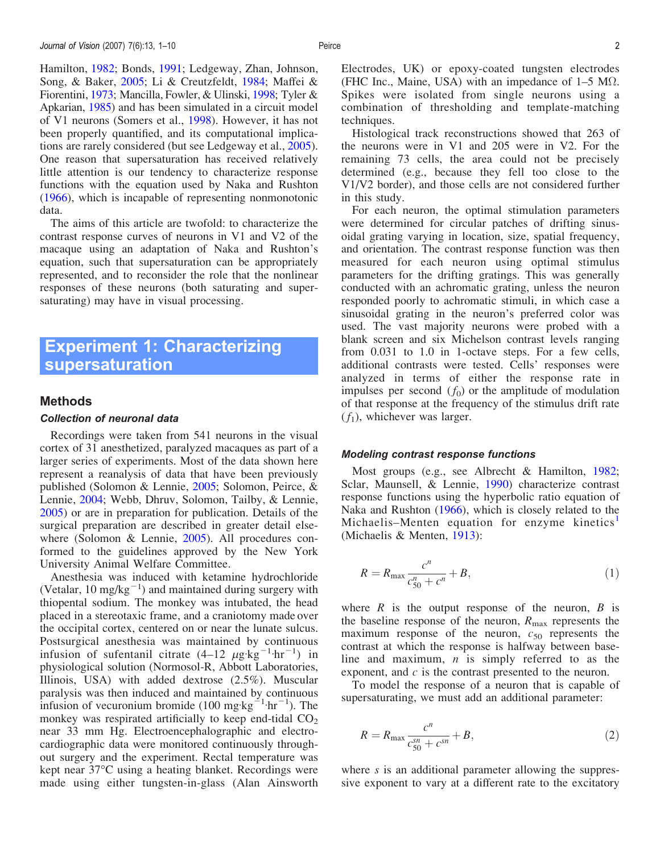<span id="page-1-0"></span>Hamilton, [1982](#page-8-0); Bonds, [1991](#page-8-0); Ledgeway, Zhan, Johnson, Song, & Baker, [2005;](#page-8-0) Li & Creutzfeldt, [1984](#page-8-0); Maffei & Fiorentini, [1973](#page-8-0); Mancilla, Fowler, & Ulinski, [1998](#page-8-0); Tyler & Apkarian, [1985](#page-9-0)) and has been simulated in a circuit model of V1 neurons (Somers et al., [1998](#page-9-0)). However, it has not been properly quantified, and its computational implications are rarely considered (but see Ledgeway et al., [2005\)](#page-8-0). One reason that supersaturation has received relatively little attention is our tendency to characterize response functions with the equation used by Naka and Rushton ([1966\)](#page-9-0), which is incapable of representing nonmonotonic data.

The aims of this article are twofold: to characterize the contrast response curves of neurons in V1 and V2 of the macaque using an adaptation of Naka and Rushton's equation, such that supersaturation can be appropriately represented, and to reconsider the role that the nonlinear responses of these neurons (both saturating and supersaturating) may have in visual processing.

## Experiment 1: Characterizing supersaturation

#### **Methods**

#### Collection of neuronal data

Recordings were taken from 541 neurons in the visual cortex of 31 anesthetized, paralyzed macaques as part of a larger series of experiments. Most of the data shown here represent a reanalysis of data that have been previously published (Solomon & Lennie, [2005;](#page-9-0) Solomon, Peirce, & Lennie, [2004;](#page-9-0) Webb, Dhruv, Solomon, Tailby, & Lennie, [2005\)](#page-9-0) or are in preparation for publication. Details of the surgical preparation are described in greater detail else-where (Solomon & Lennie, [2005\)](#page-9-0). All procedures conformed to the guidelines approved by the New York University Animal Welfare Committee.

Anesthesia was induced with ketamine hydrochloride (Vetalar, 10 mg/kg<sup>-1</sup>) and maintained during surgery with thiopental sodium. The monkey was intubated, the head placed in a stereotaxic frame, and a craniotomy made over the occipital cortex, centered on or near the lunate sulcus. Postsurgical anesthesia was maintained by continuous infusion of sufentanil citrate  $(4-12 \ \mu g \text{ kg}^{-1} \text{ hr}^{-1})$  in physiological solution (Normosol-R, Abbott Laboratories, Illinois, USA) with added dextrose (2.5%). Muscular paralysis was then induced and maintained by continuous infusion of vecuronium bromide (100 mg·kg<sup>-1</sup>·hr<sup>-1</sup>). The monkey was respirated artificially to keep end-tidal  $CO<sub>2</sub>$ near 33 mm Hg. Electroencephalographic and electrocardiographic data were monitored continuously throughout surgery and the experiment. Rectal temperature was kept near 37<sup>o</sup>C using a heating blanket. Recordings were made using either tungsten-in-glass (Alan Ainsworth

Electrodes, UK) or epoxy-coated tungsten electrodes (FHC Inc., Maine, USA) with an impedance of  $1-5$  M $\Omega$ . Spikes were isolated from single neurons using a combination of thresholding and template-matching techniques.

Histological track reconstructions showed that 263 of the neurons were in V1 and 205 were in V2. For the remaining 73 cells, the area could not be precisely determined (e.g., because they fell too close to the V1/V2 border), and those cells are not considered further in this study.

For each neuron, the optimal stimulation parameters were determined for circular patches of drifting sinusoidal grating varying in location, size, spatial frequency, and orientation. The contrast response function was then measured for each neuron using optimal stimulus parameters for the drifting gratings. This was generally conducted with an achromatic grating, unless the neuron responded poorly to achromatic stimuli, in which case a sinusoidal grating in the neuron's preferred color was used. The vast majority neurons were probed with a blank screen and six Michelson contrast levels ranging from 0.031 to 1.0 in 1-octave steps. For a few cells, additional contrasts were tested. Cells' responses were analyzed in terms of either the response rate in impulses per second  $(f_0)$  or the amplitude of modulation of that response at the frequency of the stimulus drift rate  $(f_1)$ , whichever was larger.

#### Modeling contrast response functions

Most groups (e.g., see Albrecht & Hamilton, [1982;](#page-8-0) Sclar, Maunsell, & Lennie, [1990\)](#page-9-0) characterize contrast response functions using the hyperbolic ratio equation of Naka and Rushton [\(1966\)](#page-9-0), which is closely related to the Michaelis–Menten equation for enzyme kinetics<sup>[1](#page-8-0)</sup> (Michaelis & Menten, [1913](#page-9-0)):

$$
R = R_{\max} \frac{c^n}{c_{50}^n + c^n} + B,
$$
\n(1)

where  $R$  is the output response of the neuron,  $B$  is the baseline response of the neuron,  $R_{\text{max}}$  represents the maximum response of the neuron,  $c_{50}$  represents the contrast at which the response is halfway between baseline and maximum,  $n$  is simply referred to as the exponent, and  $c$  is the contrast presented to the neuron.

To model the response of a neuron that is capable of supersaturating, we must add an additional parameter:

$$
R = R_{\text{max}} \frac{c^n}{c_{50}^{sn} + c^{sn}} + B,\tag{2}
$$

where s is an additional parameter allowing the suppressive exponent to vary at a different rate to the excitatory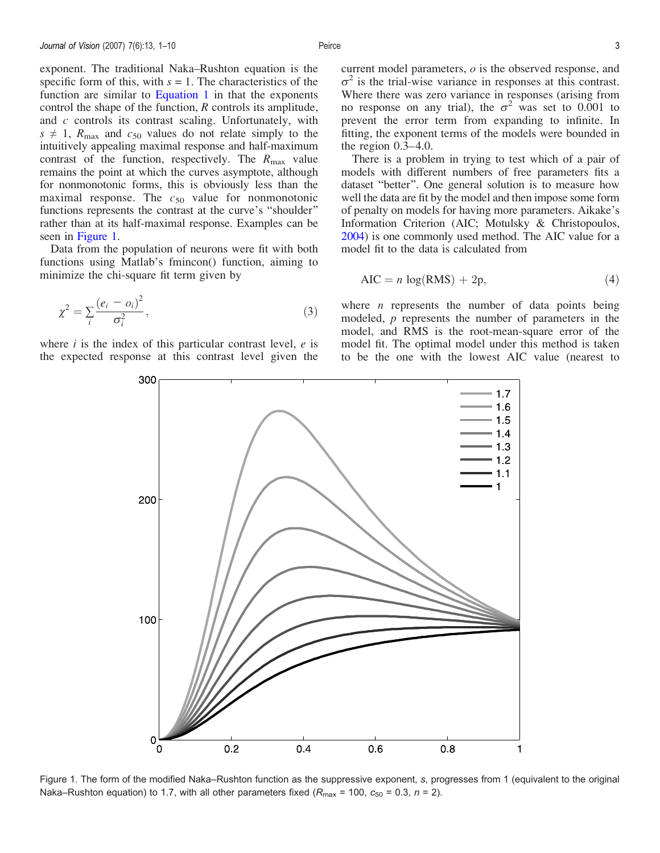<span id="page-2-0"></span>exponent. The traditional Naka–Rushton equation is the specific form of this, with  $s = 1$ . The characteristics of the function are similar to [Equation 1](#page-1-0) in that the exponents control the shape of the function,  $R$  controls its amplitude, and  $c$  controls its contrast scaling. Unfortunately, with  $s \neq 1$ ,  $R_{\text{max}}$  and  $c_{50}$  values do not relate simply to the intuitively appealing maximal response and half-maximum contrast of the function, respectively. The  $R_{\text{max}}$  value remains the point at which the curves asymptote, although for nonmonotonic forms, this is obviously less than the maximal response. The  $c_{50}$  value for nonmonotonic functions represents the contrast at the curve's "shoulder" rather than at its half-maximal response. Examples can be seen in Figure 1.

Data from the population of neurons were fit with both functions using Matlab's fmincon() function, aiming to minimize the chi-square fit term given by

$$
\chi^2 = \sum_i \frac{(e_i - o_i)^2}{\sigma_i^2},\tag{3}
$$

where  $i$  is the index of this particular contrast level,  $e$  is the expected response at this contrast level given the current model parameters, o is the observed response, and  $\sigma^2$  is the trial-wise variance in responses at this contrast. Where there was zero variance in responses (arising from no response on any trial), the  $\sigma^2$  was set to 0.001 to prevent the error term from expanding to infinite. In fitting, the exponent terms of the models were bounded in the region 0.3–4.0.

There is a problem in trying to test which of a pair of models with different numbers of free parameters fits a dataset "better". One general solution is to measure how well the data are fit by the model and then impose some form of penalty on models for having more parameters. Aikake's Information Criterion (AIC; Motulsky & Christopoulos, [2004](#page-9-0)) is one commonly used method. The AIC value for a model fit to the data is calculated from

$$
AIC = n \log(RMS) + 2p,
$$
\n(4)

where  $n$  represents the number of data points being modeled, p represents the number of parameters in the model, and RMS is the root-mean-square error of the model fit. The optimal model under this method is taken to be the one with the lowest AIC value (nearest to



Figure 1. The form of the modified Naka–Rushton function as the suppressive exponent, s, progresses from 1 (equivalent to the original Naka–Rushton equation) to 1.7, with all other parameters fixed ( $R_{\text{max}}$  = 100,  $c_{50}$  = 0.3, n = 2).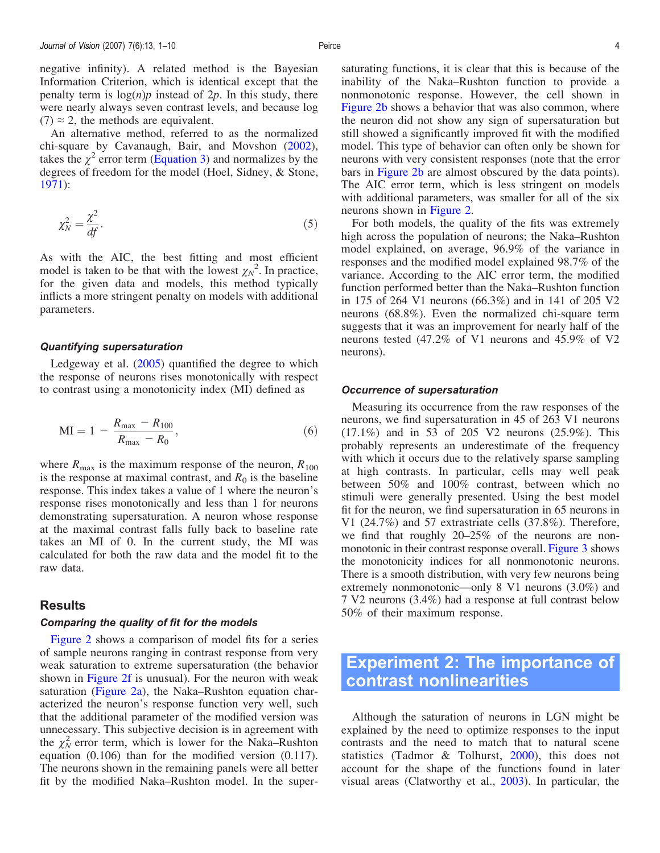negative infinity). A related method is the Bayesian Information Criterion, which is identical except that the penalty term is  $log(n)p$  instead of  $2p$ . In this study, there were nearly always seven contrast levels, and because log  $(7) \approx 2$ , the methods are equivalent.

An alternative method, referred to as the normalized chi-square by Cavanaugh, Bair, and Movshon ([2002\)](#page-8-0), takes the  $\chi^2$  error term ([Equation 3\)](#page-2-0) and normalizes by the degrees of freedom for the model (Hoel, Sidney, & Stone, [1971\)](#page-8-0):

$$
\chi_N^2 = \frac{\chi^2}{df}.\tag{5}
$$

As with the AIC, the best fitting and most efficient model is taken to be that with the lowest  $\chi_N^2$ . In practice, for the given data and models, this method typically inflicts a more stringent penalty on models with additional parameters.

#### Quantifying supersaturation

Ledgeway et al. [\(2005](#page-8-0)) quantified the degree to which the response of neurons rises monotonically with respect to contrast using a monotonicity index (MI) defined as

$$
MI = 1 - \frac{R_{\text{max}} - R_{100}}{R_{\text{max}} - R_0},
$$
\n(6)

where  $R_{\text{max}}$  is the maximum response of the neuron,  $R_{100}$ is the response at maximal contrast, and  $R_0$  is the baseline response. This index takes a value of 1 where the neuron's response rises monotonically and less than 1 for neurons demonstrating supersaturation. A neuron whose response at the maximal contrast falls fully back to baseline rate takes an MI of 0. In the current study, the MI was calculated for both the raw data and the model fit to the raw data.

#### **Results**

#### Comparing the quality of fit for the models

[Figure 2](#page-4-0) shows a comparison of model fits for a series of sample neurons ranging in contrast response from very weak saturation to extreme supersaturation (the behavior shown in [Figure 2f](#page-4-0) is unusual). For the neuron with weak saturation [\(Figure 2a\)](#page-4-0), the Naka–Rushton equation characterized the neuron's response function very well, such that the additional parameter of the modified version was unnecessary. This subjective decision is in agreement with the  $\chi^2_N$  error term, which is lower for the Naka–Rushton equation (0.106) than for the modified version (0.117). The neurons shown in the remaining panels were all better fit by the modified Naka–Rushton model. In the supersaturating functions, it is clear that this is because of the inability of the Naka–Rushton function to provide a nonmonotonic response. However, the cell shown in [Figure 2b](#page-4-0) shows a behavior that was also common, where the neuron did not show any sign of supersaturation but still showed a significantly improved fit with the modified model. This type of behavior can often only be shown for neurons with very consistent responses (note that the error bars in [Figure 2b](#page-4-0) are almost obscured by the data points). The AIC error term, which is less stringent on models with additional parameters, was smaller for all of the six neurons shown in [Figure 2.](#page-4-0)

For both models, the quality of the fits was extremely high across the population of neurons; the Naka–Rushton model explained, on average, 96.9% of the variance in responses and the modified model explained 98.7% of the variance. According to the AIC error term, the modified function performed better than the Naka–Rushton function in 175 of 264 V1 neurons (66.3%) and in 141 of 205 V2 neurons (68.8%). Even the normalized chi-square term suggests that it was an improvement for nearly half of the neurons tested (47.2% of V1 neurons and 45.9% of V2 neurons).

#### Occurrence of supersaturation

Measuring its occurrence from the raw responses of the neurons, we find supersaturation in 45 of 263 V1 neurons (17.1%) and in 53 of 205 V2 neurons (25.9%). This probably represents an underestimate of the frequency with which it occurs due to the relatively sparse sampling at high contrasts. In particular, cells may well peak between 50% and 100% contrast, between which no stimuli were generally presented. Using the best model fit for the neuron, we find supersaturation in 65 neurons in V1 (24.7%) and 57 extrastriate cells (37.8%). Therefore, we find that roughly 20–25% of the neurons are nonmonotonic in their contrast response overall. [Figure 3](#page-5-0) shows the monotonicity indices for all nonmonotonic neurons. There is a smooth distribution, with very few neurons being extremely nonmonotonic—only 8 V1 neurons (3.0%) and 7 V2 neurons (3.4%) had a response at full contrast below 50% of their maximum response.

## Experiment 2: The importance of contrast nonlinearities

Although the saturation of neurons in LGN might be explained by the need to optimize responses to the input contrasts and the need to match that to natural scene statistics (Tadmor & Tolhurst, [2000\)](#page-9-0), this does not account for the shape of the functions found in later visual areas (Clatworthy et al., [2003](#page-8-0)). In particular, the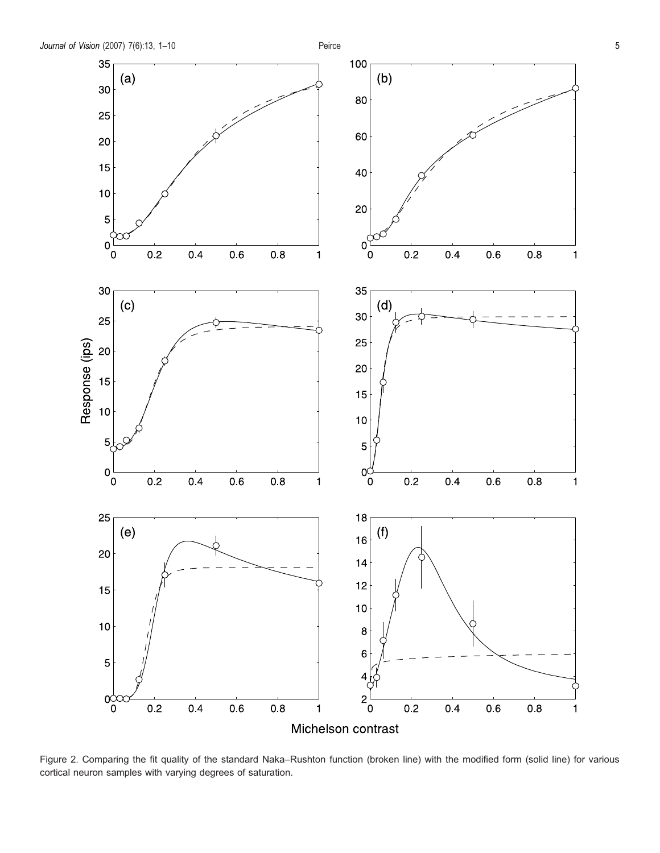<span id="page-4-0"></span>

Michelson contrast

Figure 2. Comparing the fit quality of the standard Naka–Rushton function (broken line) with the modified form (solid line) for various cortical neuron samples with varying degrees of saturation.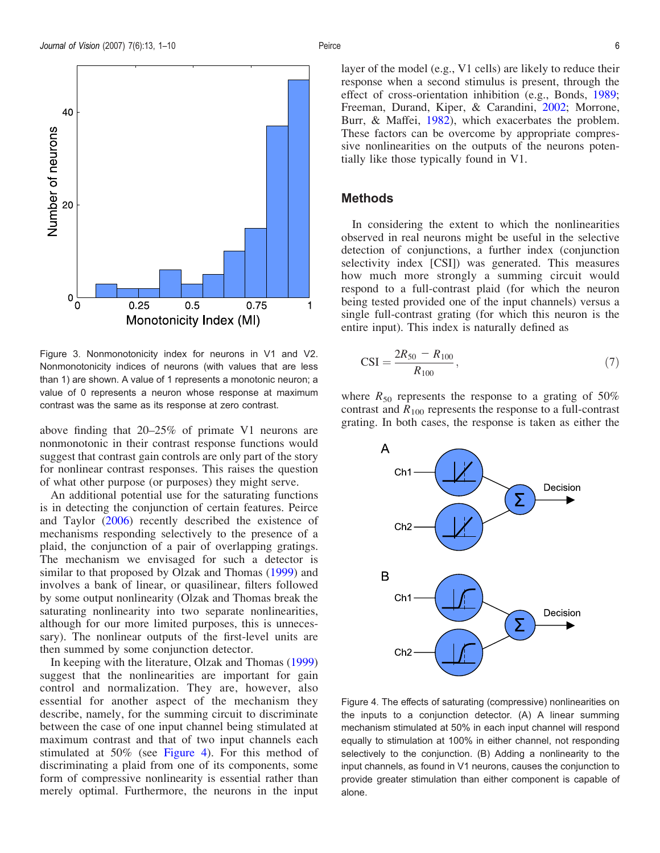<span id="page-5-0"></span>

Figure 3. Nonmonotonicity index for neurons in V1 and V2. Nonmonotonicity indices of neurons (with values that are less than 1) are shown. A value of 1 represents a monotonic neuron; a value of 0 represents a neuron whose response at maximum contrast was the same as its response at zero contrast.

above finding that 20–25% of primate V1 neurons are nonmonotonic in their contrast response functions would suggest that contrast gain controls are only part of the story for nonlinear contrast responses. This raises the question of what other purpose (or purposes) they might serve.

An additional potential use for the saturating functions is in detecting the conjunction of certain features. Peirce and Taylor [\(2006\)](#page-9-0) recently described the existence of mechanisms responding selectively to the presence of a plaid, the conjunction of a pair of overlapping gratings. The mechanism we envisaged for such a detector is similar to that proposed by Olzak and Thomas ([1999\)](#page-9-0) and involves a bank of linear, or quasilinear, filters followed by some output nonlinearity (Olzak and Thomas break the saturating nonlinearity into two separate nonlinearities, although for our more limited purposes, this is unnecessary). The nonlinear outputs of the first-level units are then summed by some conjunction detector.

In keeping with the literature, Olzak and Thomas ([1999\)](#page-9-0) suggest that the nonlinearities are important for gain control and normalization. They are, however, also essential for another aspect of the mechanism they describe, namely, for the summing circuit to discriminate between the case of one input channel being stimulated at maximum contrast and that of two input channels each stimulated at 50% (see Figure 4). For this method of discriminating a plaid from one of its components, some form of compressive nonlinearity is essential rather than merely optimal. Furthermore, the neurons in the input layer of the model (e.g., V1 cells) are likely to reduce their response when a second stimulus is present, through the effect of cross-orientation inhibition (e.g., Bonds, [1989;](#page-8-0) Freeman, Durand, Kiper, & Carandini, [2002](#page-8-0); Morrone, Burr, & Maffei, [1982](#page-9-0)), which exacerbates the problem. These factors can be overcome by appropriate compressive nonlinearities on the outputs of the neurons potentially like those typically found in V1.

### Methods

In considering the extent to which the nonlinearities observed in real neurons might be useful in the selective detection of conjunctions, a further index (conjunction selectivity index [CSI]) was generated. This measures how much more strongly a summing circuit would respond to a full-contrast plaid (for which the neuron being tested provided one of the input channels) versus a single full-contrast grating (for which this neuron is the entire input). This index is naturally defined as

$$
CSI = \frac{2R_{50} - R_{100}}{R_{100}},
$$
\n(7)

where  $R_{50}$  represents the response to a grating of 50% contrast and  $R_{100}$  represents the response to a full-contrast grating. In both cases, the response is taken as either the



Figure 4. The effects of saturating (compressive) nonlinearities on the inputs to a conjunction detector. (A) A linear summing mechanism stimulated at 50% in each input channel will respond equally to stimulation at 100% in either channel, not responding selectively to the conjunction. (B) Adding a nonlinearity to the input channels, as found in V1 neurons, causes the conjunction to provide greater stimulation than either component is capable of alone.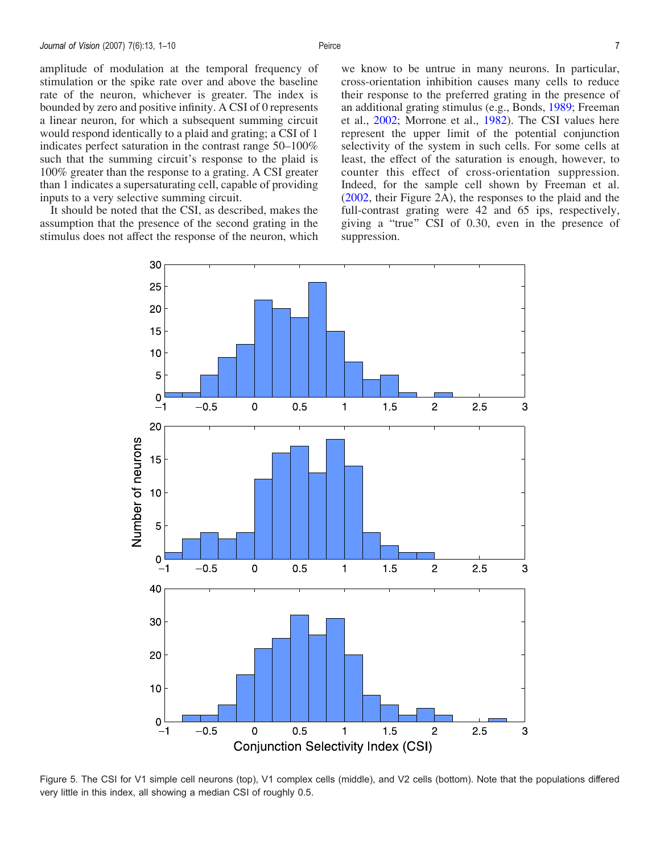<span id="page-6-0"></span>amplitude of modulation at the temporal frequency of stimulation or the spike rate over and above the baseline rate of the neuron, whichever is greater. The index is bounded by zero and positive infinity. A CSI of 0 represents a linear neuron, for which a subsequent summing circuit would respond identically to a plaid and grating; a CSI of 1 indicates perfect saturation in the contrast range 50–100% such that the summing circuit's response to the plaid is 100% greater than the response to a grating. A CSI greater than 1 indicates a supersaturating cell, capable of providing inputs to a very selective summing circuit.

It should be noted that the CSI, as described, makes the assumption that the presence of the second grating in the stimulus does not affect the response of the neuron, which we know to be untrue in many neurons. In particular, cross-orientation inhibition causes many cells to reduce their response to the preferred grating in the presence of an additional grating stimulus (e.g., Bonds, [1989;](#page-8-0) Freeman et al., [2002;](#page-8-0) Morrone et al., [1982](#page-9-0)). The CSI values here represent the upper limit of the potential conjunction selectivity of the system in such cells. For some cells at least, the effect of the saturation is enough, however, to counter this effect of cross-orientation suppression. Indeed, for the sample cell shown by Freeman et al. [\(2002](#page-8-0), their Figure 2A), the responses to the plaid and the full-contrast grating were 42 and 65 ips, respectively, giving a "true" CSI of 0.30, even in the presence of suppression.



Figure 5. The CSI for V1 simple cell neurons (top), V1 complex cells (middle), and V2 cells (bottom). Note that the populations differed very little in this index, all showing a median CSI of roughly 0.5.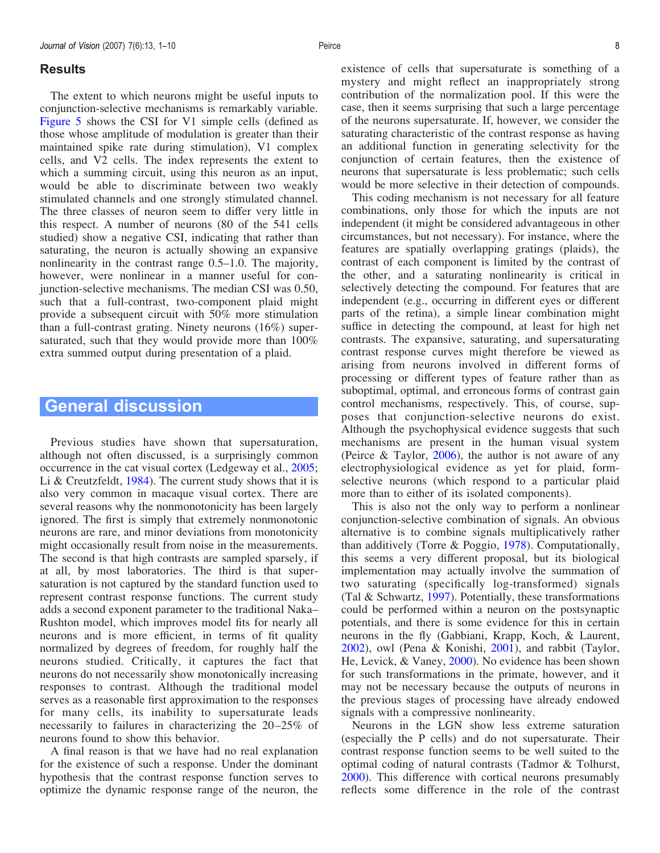#### **Results**

The extent to which neurons might be useful inputs to conjunction-selective mechanisms is remarkably variable. [Figure 5](#page-6-0) shows the CSI for V1 simple cells (defined as those whose amplitude of modulation is greater than their maintained spike rate during stimulation), V1 complex cells, and V2 cells. The index represents the extent to which a summing circuit, using this neuron as an input, would be able to discriminate between two weakly stimulated channels and one strongly stimulated channel. The three classes of neuron seem to differ very little in this respect. A number of neurons (80 of the 541 cells studied) show a negative CSI, indicating that rather than saturating, the neuron is actually showing an expansive nonlinearity in the contrast range 0.5–1.0. The majority, however, were nonlinear in a manner useful for conjunction-selective mechanisms. The median CSI was 0.50, such that a full-contrast, two-component plaid might provide a subsequent circuit with 50% more stimulation than a full-contrast grating. Ninety neurons (16%) supersaturated, such that they would provide more than 100% extra summed output during presentation of a plaid.

### General discussion

Previous studies have shown that supersaturation, although not often discussed, is a surprisingly common occurrence in the cat visual cortex (Ledgeway et al., [2005](#page-8-0); Li  $&$  Creutzfeldt, [1984\)](#page-8-0). The current study shows that it is also very common in macaque visual cortex. There are several reasons why the nonmonotonicity has been largely ignored. The first is simply that extremely nonmonotonic neurons are rare, and minor deviations from monotonicity might occasionally result from noise in the measurements. The second is that high contrasts are sampled sparsely, if at all, by most laboratories. The third is that supersaturation is not captured by the standard function used to represent contrast response functions. The current study adds a second exponent parameter to the traditional Naka– Rushton model, which improves model fits for nearly all neurons and is more efficient, in terms of fit quality normalized by degrees of freedom, for roughly half the neurons studied. Critically, it captures the fact that neurons do not necessarily show monotonically increasing responses to contrast. Although the traditional model serves as a reasonable first approximation to the responses for many cells, its inability to supersaturate leads necessarily to failures in characterizing the 20–25% of neurons found to show this behavior.

A final reason is that we have had no real explanation for the existence of such a response. Under the dominant hypothesis that the contrast response function serves to optimize the dynamic response range of the neuron, the

existence of cells that supersaturate is something of a mystery and might reflect an inappropriately strong contribution of the normalization pool. If this were the case, then it seems surprising that such a large percentage of the neurons supersaturate. If, however, we consider the saturating characteristic of the contrast response as having an additional function in generating selectivity for the conjunction of certain features, then the existence of neurons that supersaturate is less problematic; such cells would be more selective in their detection of compounds.

This coding mechanism is not necessary for all feature combinations, only those for which the inputs are not independent (it might be considered advantageous in other circumstances, but not necessary). For instance, where the features are spatially overlapping gratings (plaids), the contrast of each component is limited by the contrast of the other, and a saturating nonlinearity is critical in selectively detecting the compound. For features that are independent (e.g., occurring in different eyes or different parts of the retina), a simple linear combination might suffice in detecting the compound, at least for high net contrasts. The expansive, saturating, and supersaturating contrast response curves might therefore be viewed as arising from neurons involved in different forms of processing or different types of feature rather than as suboptimal, optimal, and erroneous forms of contrast gain control mechanisms, respectively. This, of course, supposes that conjunction-selective neurons do exist. Although the psychophysical evidence suggests that such mechanisms are present in the human visual system (Peirce & Taylor, [2006\)](#page-9-0), the author is not aware of any electrophysiological evidence as yet for plaid, formselective neurons (which respond to a particular plaid more than to either of its isolated components).

This is also not the only way to perform a nonlinear conjunction-selective combination of signals. An obvious alternative is to combine signals multiplicatively rather than additively (Torre & Poggio, [1978\)](#page-9-0). Computationally, this seems a very different proposal, but its biological implementation may actually involve the summation of two saturating (specifically log-transformed) signals (Tal & Schwartz, [1997\)](#page-9-0). Potentially, these transformations could be performed within a neuron on the postsynaptic potentials, and there is some evidence for this in certain neurons in the fly (Gabbiani, Krapp, Koch, & Laurent, [2002\)](#page-8-0), owl (Pena & Konishi, [2001](#page-9-0)), and rabbit (Taylor, He, Levick, & Vaney, [2000](#page-9-0)). No evidence has been shown for such transformations in the primate, however, and it may not be necessary because the outputs of neurons in the previous stages of processing have already endowed signals with a compressive nonlinearity.

Neurons in the LGN show less extreme saturation (especially the P cells) and do not supersaturate. Their contrast response function seems to be well suited to the optimal coding of natural contrasts (Tadmor & Tolhurst, [2000\)](#page-9-0). This difference with cortical neurons presumably reflects some difference in the role of the contrast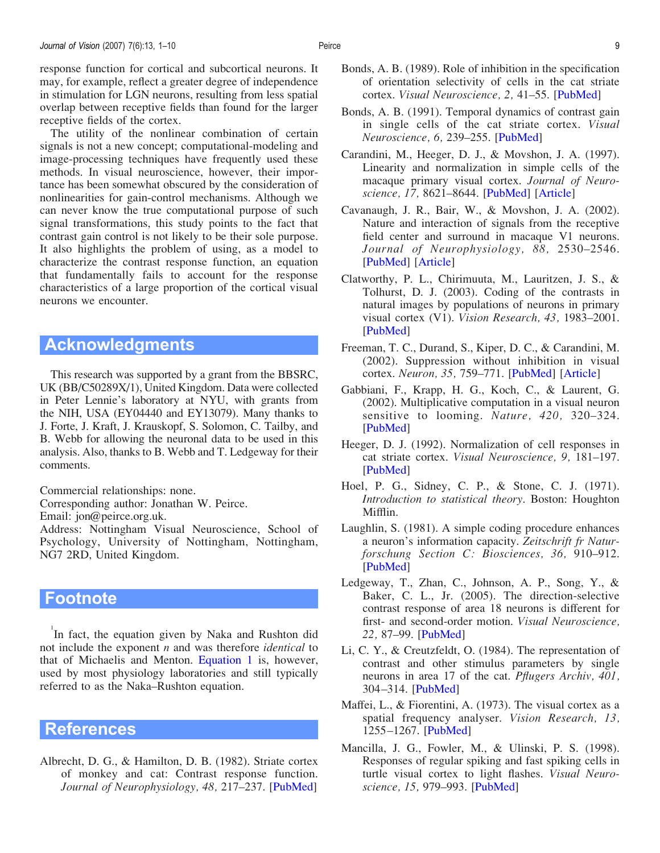<span id="page-8-0"></span>response function for cortical and subcortical neurons. It may, for example, reflect a greater degree of independence in stimulation for LGN neurons, resulting from less spatial overlap between receptive fields than found for the larger receptive fields of the cortex.

The utility of the nonlinear combination of certain signals is not a new concept; computational-modeling and image-processing techniques have frequently used these methods. In visual neuroscience, however, their importance has been somewhat obscured by the consideration of nonlinearities for gain-control mechanisms. Although we can never know the true computational purpose of such signal transformations, this study points to the fact that contrast gain control is not likely to be their sole purpose. It also highlights the problem of using, as a model to characterize the contrast response function, an equation that fundamentally fails to account for the response characteristics of a large proportion of the cortical visual neurons we encounter.

### Acknowledgments

This research was supported by a grant from the BBSRC, UK (BB/C50289X/1), United Kingdom. Data were collected in Peter Lennie's laboratory at NYU, with grants from the NIH, USA (EY04440 and EY13079). Many thanks to J. Forte, J. Kraft, J. Krauskopf, S. Solomon, C. Tailby, and B. Webb for allowing the neuronal data to be used in this analysis. Also, thanks to B. Webb and T. Ledgeway for their comments.

Commercial relationships: none.

Corresponding author: Jonathan W. Peirce.

Email: jon@peirce.org.uk.

Address: Nottingham Visual Neuroscience, School of Psychology, University of Nottingham, Nottingham, NG7 2RD, United Kingdom.

### Footnote

In fact, the equation given by Naka and Rushton did not include the exponent  $n$  and was therefore *identical* to that of Michaelis and Menton. [Equation 1](#page-1-0) is, however, used by most physiology laboratories and still typically referred to as the Naka–Rushton equation.

### **References**

Albrecht, D. G., & Hamilton, D. B. (1982). Striate cortex of monkey and cat: Contrast response function. Journal of Neurophysiology, 48, 217-237. [[PubMed\]](http://www.ncbi.nlm.nih.gov/entrez/query.fcgi?db=pubmed&cmd=Retrieve&dopt=AbstractPlus&list_uids=7119846&query_hl=1&itool=pubmed_docsum)

- Bonds, A. B. (1989). Role of inhibition in the specification of orientation selectivity of cells in the cat striate cortex. Visual Neuroscience, 2, 41-55. [\[PubMed](http://www.ncbi.nlm.nih.gov/entrez/query.fcgi?db=pubmed&cmd=Retrieve&dopt=AbstractPlus&list_uids=2487637&query_hl=7&itool=pubmed_DocSum)]
- Bonds, A. B. (1991). Temporal dynamics of contrast gain in single cells of the cat striate cortex. Visual Neuroscience, 6, 239–255. [[PubMed\]](http://www.ncbi.nlm.nih.gov/entrez/query.fcgi?db=pubmed&cmd=Retrieve&dopt=AbstractPlus&list_uids=2054326&query_hl=7&itool=pubmed_DocSum)
- Carandini, M., Heeger, D. J., & Movshon, J. A. (1997). Linearity and normalization in simple cells of the macaque primary visual cortex. Journal of Neuro-science, 17, 8621-8644. [[PubMed\]](http://www.ncbi.nlm.nih.gov/entrez/query.fcgi?db=pubmed&cmd=Retrieve&dopt=AbstractPlus&list_uids=9334433&query_hl=23&itool=pubmed_docsum) [[Article](http://www.jneurosci.org/cgi/content/full/17/21/8621)]
- Cavanaugh, J. R., Bair, W., & Movshon, J. A. (2002). Nature and interaction of signals from the receptive field center and surround in macaque V1 neurons. Journal of Neurophysiology, 88, 2530–2546. [\[PubMed](http://www.ncbi.nlm.nih.gov/entrez/query.fcgi?db=pubmed&cmd=Retrieve&dopt=AbstractPlus&list_uids=12424292&query_hl=11&itool=pubmed_docsum)] [\[Article\]](http://jn.physiology.org/cgi/content/full/88/5/2530)
- Clatworthy, P. L., Chirimuuta, M., Lauritzen, J. S., & Tolhurst, D. J. (2003). Coding of the contrasts in natural images by populations of neurons in primary visual cortex (V1). Vision Research, 43, 1983–2001. [\[PubMed](http://www.ncbi.nlm.nih.gov/entrez/query.fcgi?db=pubmed&cmd=Retrieve&dopt=AbstractPlus&list_uids=12831760&query_hl=1&itool=pubmed_docsum)]
- Freeman, T. C., Durand, S., Kiper, D. C., & Carandini, M. (2002). Suppression without inhibition in visual cortex. Neuron, 35, 759-771. [\[PubMed](http://www.ncbi.nlm.nih.gov/entrez/query.fcgi?db=pubmed&cmd=Retrieve&dopt=AbstractPlus&list_uids=12194874&query_hl=14&itool=pubmed_DocSum)] [\[Article\]](http://www.sciencedirect.com/science?_ob=ArticleURL&_udi=B6WSS-4CC2Y75-34&_user=10&_coverDate=08/15/2002&_rdoc=1&_fmt=&_orig=search&_sort=d&view=c&_acct=C000050221&_version=1&_urlVersion=0&_userid=10&md5=167169b4ae236ccf444b783c0fa48459)
- Gabbiani, F., Krapp, H. G., Koch, C., & Laurent, G. (2002). Multiplicative computation in a visual neuron sensitive to looming. Nature, 420, 320–324. [\[PubMed](http://www.ncbi.nlm.nih.gov/entrez/query.fcgi?db=pubmed&cmd=Retrieve&dopt=AbstractPlus&list_uids=12447440&query_hl=16&itool=pubmed_DocSum)]
- Heeger, D. J. (1992). Normalization of cell responses in cat striate cortex. Visual Neuroscience, 9, 181–197. [\[PubMed](http://www.ncbi.nlm.nih.gov/entrez/query.fcgi?db=pubmed&cmd=Retrieve&dopt=AbstractPlus&list_uids=1504027&query_hl=3&itool=pubmed_docsum)]
- Hoel, P. G., Sidney, C. P., & Stone, C. J. (1971). Introduction to statistical theory. Boston: Houghton Mifflin.
- Laughlin, S. (1981). A simple coding procedure enhances a neuron's information capacity. Zeitschrift fr Naturforschung Section C: Biosciences, 36, 910–912. [\[PubMed](http://www.ncbi.nlm.nih.gov/entrez/query.fcgi?db=pubmed&cmd=Retrieve&dopt=AbstractPlus&list_uids=7303823&query_hl=19&itool=pubmed_docsum)]
- Ledgeway, T., Zhan, C., Johnson, A. P., Song, Y., & Baker, C. L., Jr. (2005). The direction-selective contrast response of area 18 neurons is different for first- and second-order motion. Visual Neuroscience, 22, 87–99. [\[PubMed](http://www.ncbi.nlm.nih.gov/entrez/query.fcgi?db=pubmed&cmd=Retrieve&dopt=AbstractPlus&list_uids=15842744&query_hl=21&itool=pubmed_DocSum)]
- Li, C. Y., & Creutzfeldt, O. (1984). The representation of contrast and other stimulus parameters by single neurons in area 17 of the cat. *Pflugers Archiv*, 401, 304–314. [[PubMed\]](http://www.ncbi.nlm.nih.gov/entrez/query.fcgi?db=pubmed&cmd=Retrieve&dopt=AbstractPlus&list_uids=6473083&query_hl=5&itool=pubmed_docsum)
- Maffei, L., & Fiorentini, A. (1973). The visual cortex as a spatial frequency analyser. Vision Research, 13, 1255–1267. [[PubMed\]](http://www.ncbi.nlm.nih.gov/entrez/query.fcgi?db=pubmed&cmd=Retrieve&dopt=AbstractPlus&list_uids=4722797&query_hl=24&itool=pubmed_DocSum)
- Mancilla, J. G., Fowler, M., & Ulinski, P. S. (1998). Responses of regular spiking and fast spiking cells in turtle visual cortex to light flashes. Visual Neuro-science, 15, 979-993. [[PubMed\]](http://www.ncbi.nlm.nih.gov/entrez/query.fcgi?db=pubmed&cmd=Retrieve&dopt=AbstractPlus&list_uids=9764539&query_hl=26&itool=pubmed_docsum)